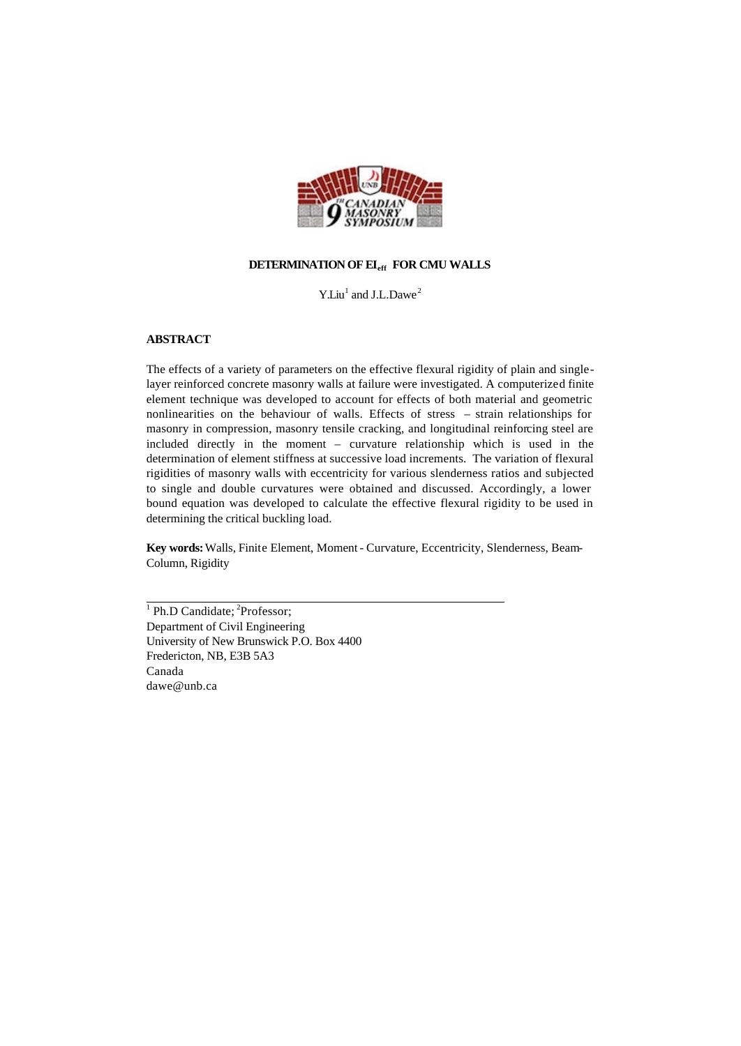

# **DETERMINATION OF EIeff FOR CMU WALLS**

Y.Liu<sup>1</sup> and J.L.Dawe<sup>2</sup>

# **ABSTRACT**

The effects of a variety of parameters on the effective flexural rigidity of plain and singlelayer reinforced concrete masonry walls at failure were investigated. A computerized finite element technique was developed to account for effects of both material and geometric nonlinearities on the behaviour of walls. Effects of stress – strain relationships for masonry in compression, masonry tensile cracking, and longitudinal reinforcing steel are included directly in the moment – curvature relationship which is used in the determination of element stiffness at successive load increments. The variation of flexural rigidities of masonry walls with eccentricity for various slenderness ratios and subjected to single and double curvatures were obtained and discussed. Accordingly, a lower bound equation was developed to calculate the effective flexural rigidity to be used in determining the critical buckling load.

**Key words:** Walls, Finite Element, Moment - Curvature, Eccentricity, Slenderness, Beam-Column, Rigidity

<sup>1</sup> Ph.D Candidate; <sup>2</sup>Professor; Department of Civil Engineering University of New Brunswick P.O. Box 4400 Fredericton, NB, E3B 5A3 Canada dawe@unb.ca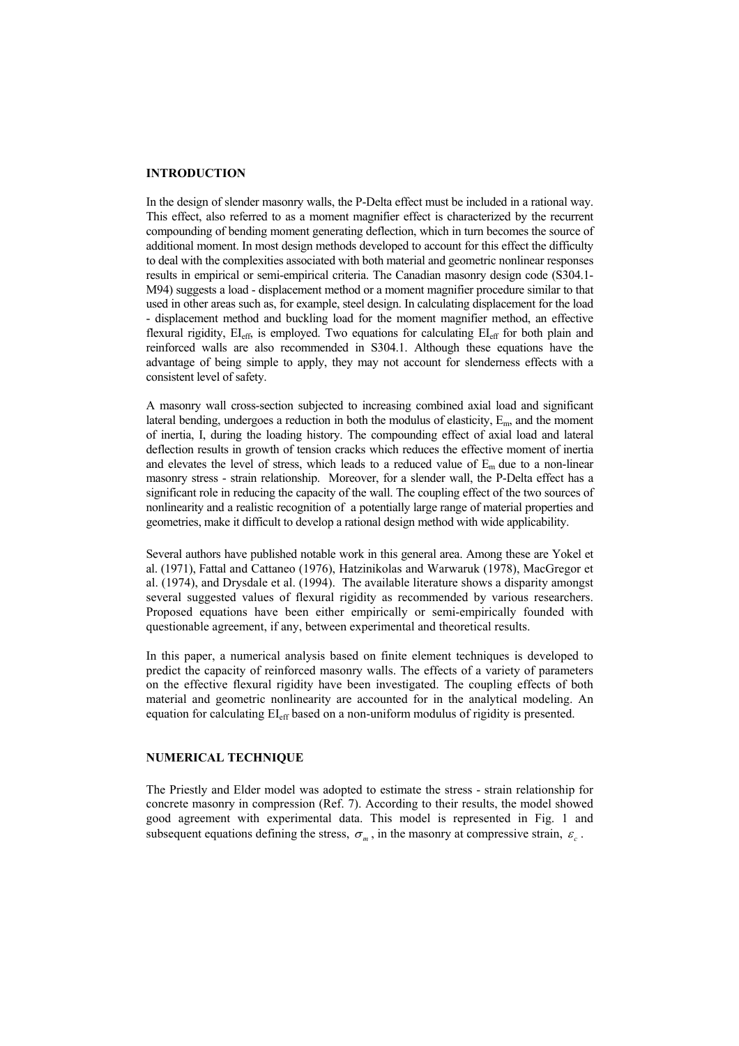## **INTRODUCTION**

In the design of slender masonry walls, the P-Delta effect must be included in a rational way. This effect, also referred to as a moment magnifier effect is characterized by the recurrent compounding of bending moment generating deflection, which in turn becomes the source of additional moment. In most design methods developed to account for this effect the difficulty to deal with the complexities associated with both material and geometric nonlinear responses results in empirical or semi-empirical criteria. The Canadian masonry design code (S304.1- M94) suggests a load - displacement method or a moment magnifier procedure similar to that used in other areas such as, for example, steel design. In calculating displacement for the load - displacement method and buckling load for the moment magnifier method, an effective flexural rigidity,  $EI_{\text{eff}}$ , is employed. Two equations for calculating  $EI_{\text{eff}}$  for both plain and reinforced walls are also recommended in S304.1. Although these equations have the advantage of being simple to apply, they may not account for slenderness effects with a consistent level of safety.

A masonry wall cross-section subjected to increasing combined axial load and significant lateral bending, undergoes a reduction in both the modulus of elasticity,  $E<sub>m</sub>$ , and the moment of inertia, I, during the loading history. The compounding effect of axial load and lateral deflection results in growth of tension cracks which reduces the effective moment of inertia and elevates the level of stress, which leads to a reduced value of  $E_m$  due to a non-linear masonry stress - strain relationship. Moreover, for a slender wall, the P-Delta effect has a significant role in reducing the capacity of the wall. The coupling effect of the two sources of nonlinearity and a realistic recognition of a potentially large range of material properties and geometries, make it difficult to develop a rational design method with wide applicability.

Several authors have published notable work in this general area. Among these are Yokel et al. (1971), Fattal and Cattaneo (1976), Hatzinikolas and Warwaruk (1978), MacGregor et al. (1974), and Drysdale et al. (1994). The available literature shows a disparity amongst several suggested values of flexural rigidity as recommended by various researchers. Proposed equations have been either empirically or semi-empirically founded with questionable agreement, if any, between experimental and theoretical results.

In this paper, a numerical analysis based on finite element techniques is developed to predict the capacity of reinforced masonry walls. The effects of a variety of parameters on the effective flexural rigidity have been investigated. The coupling effects of both material and geometric nonlinearity are accounted for in the analytical modeling. An equation for calculating  $EI_{\text{eff}}$  based on a non-uniform modulus of rigidity is presented.

## **NUMERICAL TECHNIQUE**

The Priestly and Elder model was adopted to estimate the stress - strain relationship for concrete masonry in compression (Ref. 7). According to their results, the model showed good agreement with experimental data. This model is represented in Fig. 1 and subsequent equations defining the stress,  $\sigma_m$ , in the masonry at compressive strain,  $\varepsilon_c$ .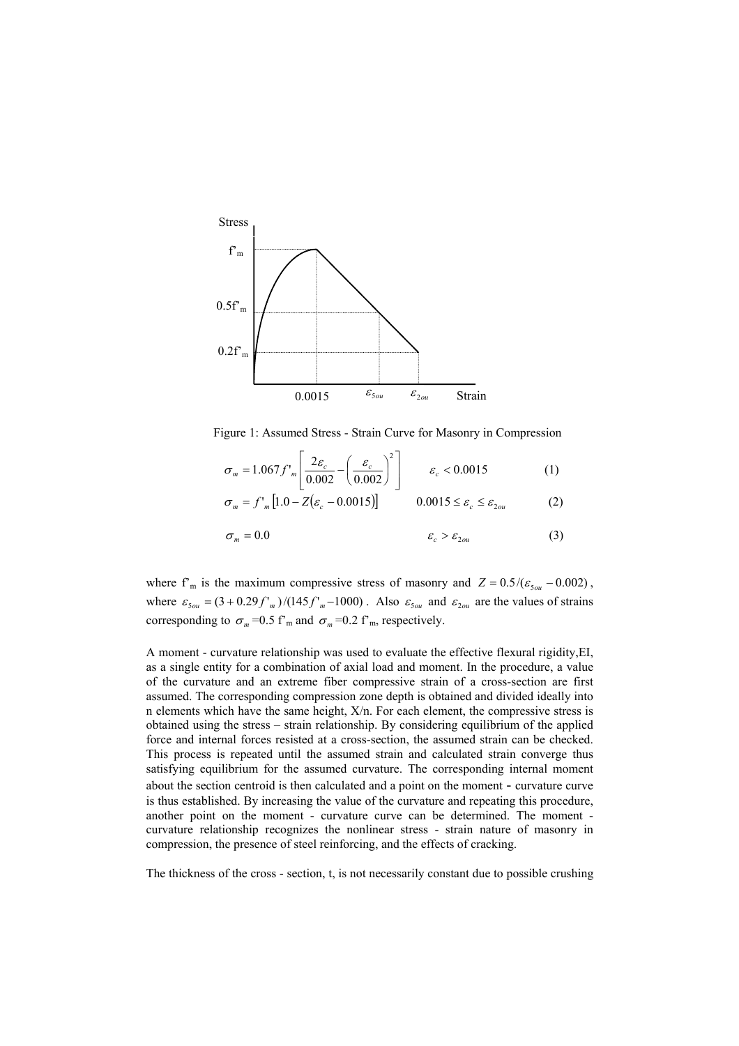

Figure 1: Assumed Stress - Strain Curve for Masonry in Compression

$$
\sigma_m = 1.067 f'_m \left[ \frac{2\varepsilon_c}{0.002} - \left( \frac{\varepsilon_c}{0.002} \right)^2 \right] \qquad \varepsilon_c < 0.0015 \tag{1}
$$

$$
\sigma_m = f'_m \left[ 1.0 - Z \left( \varepsilon_c - 0.0015 \right) \right] \qquad 0.0015 \le \varepsilon_c \le \varepsilon_{2ou} \qquad (2)
$$

$$
\sigma_m = 0.0 \qquad \qquad \varepsilon_c > \varepsilon_{2ou} \qquad \qquad (3)
$$

where  $f<sup>m</sup>$  is the maximum compressive stress of masonry and  $Z = 0.5/(\varepsilon_{50u} - 0.002)$ , where  $\varepsilon_{50u} = (3 + 0.29 f'_{m})/(145 f'_{m} - 1000)$ . Also  $\varepsilon_{50u}$  and  $\varepsilon_{20u}$  are the values of strains corresponding to  $\sigma_m$ =0.5 f'<sub>m</sub> and  $\sigma_m$ =0.2 f'<sub>m</sub>, respectively.

A moment - curvature relationship was used to evaluate the effective flexural rigidity,EI, as a single entity for a combination of axial load and moment. In the procedure, a value of the curvature and an extreme fiber compressive strain of a cross-section are first assumed. The corresponding compression zone depth is obtained and divided ideally into n elements which have the same height, X/n. For each element, the compressive stress is obtained using the stress – strain relationship. By considering equilibrium of the applied force and internal forces resisted at a cross-section, the assumed strain can be checked. This process is repeated until the assumed strain and calculated strain converge thus satisfying equilibrium for the assumed curvature. The corresponding internal moment about the section centroid is then calculated and a point on the moment - curvature curve is thus established. By increasing the value of the curvature and repeating this procedure, another point on the moment - curvature curve can be determined. The moment curvature relationship recognizes the nonlinear stress - strain nature of masonry in compression, the presence of steel reinforcing, and the effects of cracking.

The thickness of the cross - section, t, is not necessarily constant due to possible crushing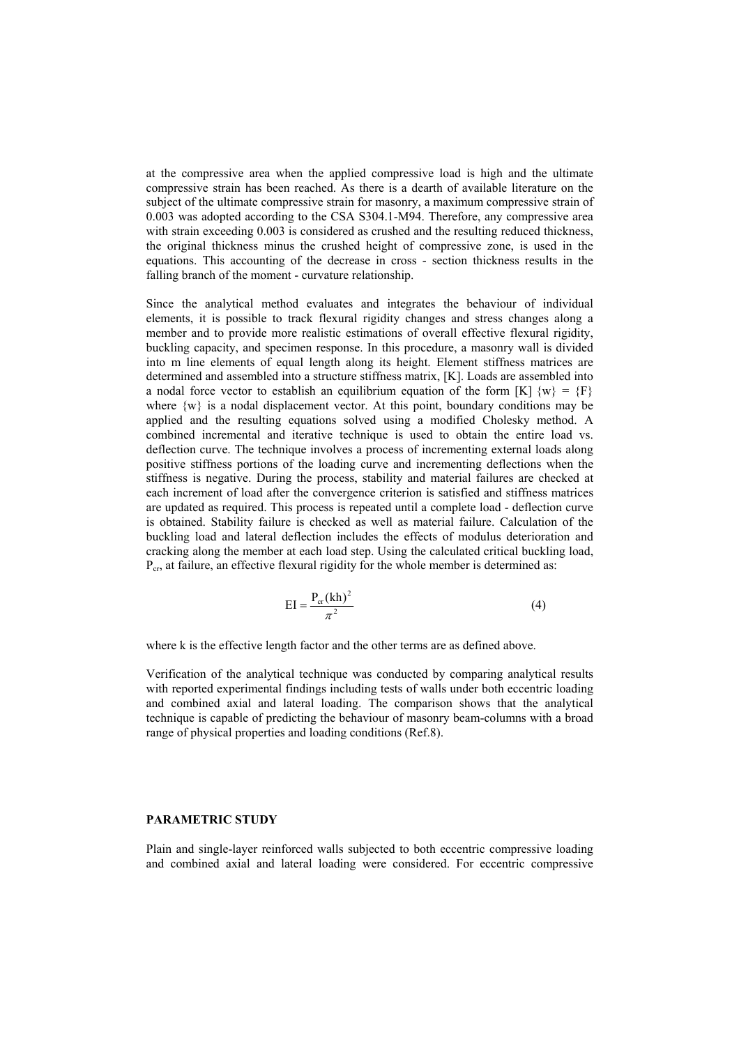at the compressive area when the applied compressive load is high and the ultimate compressive strain has been reached. As there is a dearth of available literature on the subject of the ultimate compressive strain for masonry, a maximum compressive strain of 0.003 was adopted according to the CSA S304.1-M94. Therefore, any compressive area with strain exceeding 0.003 is considered as crushed and the resulting reduced thickness, the original thickness minus the crushed height of compressive zone, is used in the equations. This accounting of the decrease in cross - section thickness results in the falling branch of the moment - curvature relationship.

Since the analytical method evaluates and integrates the behaviour of individual elements, it is possible to track flexural rigidity changes and stress changes along a member and to provide more realistic estimations of overall effective flexural rigidity, buckling capacity, and specimen response. In this procedure, a masonry wall is divided into m line elements of equal length along its height. Element stiffness matrices are determined and assembled into a structure stiffness matrix, [K]. Loads are assembled into a nodal force vector to establish an equilibrium equation of the form  $[K] \{w\} = \{F\}$ where  $\{w\}$  is a nodal displacement vector. At this point, boundary conditions may be applied and the resulting equations solved using a modified Cholesky method. A combined incremental and iterative technique is used to obtain the entire load vs. deflection curve. The technique involves a process of incrementing external loads along positive stiffness portions of the loading curve and incrementing deflections when the stiffness is negative. During the process, stability and material failures are checked at each increment of load after the convergence criterion is satisfied and stiffness matrices are updated as required. This process is repeated until a complete load - deflection curve is obtained. Stability failure is checked as well as material failure. Calculation of the buckling load and lateral deflection includes the effects of modulus deterioration and cracking along the member at each load step. Using the calculated critical buckling load,  $P_{cr}$ , at failure, an effective flexural rigidity for the whole member is determined as:

$$
EI = \frac{P_{cr}(kh)^2}{\pi^2}
$$
 (4)

where k is the effective length factor and the other terms are as defined above.

Verification of the analytical technique was conducted by comparing analytical results with reported experimental findings including tests of walls under both eccentric loading and combined axial and lateral loading. The comparison shows that the analytical technique is capable of predicting the behaviour of masonry beam-columns with a broad range of physical properties and loading conditions (Ref.8).

#### **PARAMETRIC STUDY**

Plain and single-layer reinforced walls subjected to both eccentric compressive loading and combined axial and lateral loading were considered. For eccentric compressive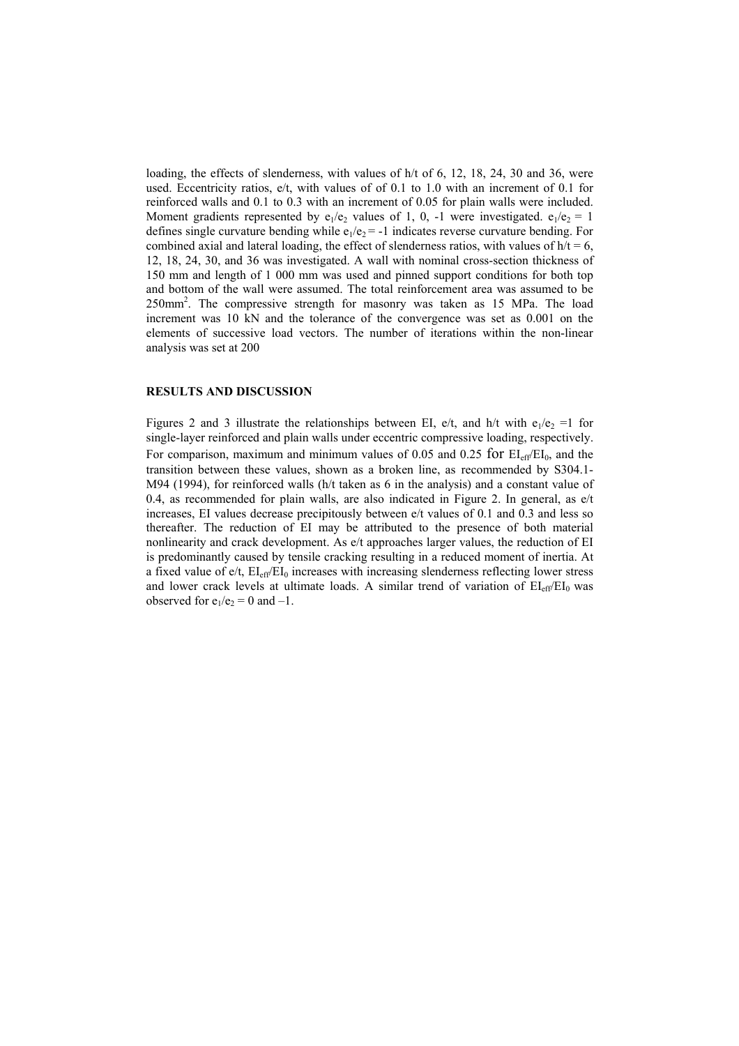loading, the effects of slenderness, with values of h/t of 6, 12, 18, 24, 30 and 36, were used. Eccentricity ratios, e/t, with values of of 0.1 to 1.0 with an increment of 0.1 for reinforced walls and 0.1 to 0.3 with an increment of 0.05 for plain walls were included. Moment gradients represented by  $e_1/e_2$  values of 1, 0, -1 were investigated.  $e_1/e_2 = 1$ defines single curvature bending while  $e_1/e_2 = -1$  indicates reverse curvature bending. For combined axial and lateral loading, the effect of slenderness ratios, with values of  $h/t = 6$ , 12, 18, 24, 30, and 36 was investigated. A wall with nominal cross-section thickness of 150 mm and length of 1 000 mm was used and pinned support conditions for both top and bottom of the wall were assumed. The total reinforcement area was assumed to be 250mm<sup>2</sup>. The compressive strength for masonry was taken as 15 MPa. The load increment was 10 kN and the tolerance of the convergence was set as 0.001 on the elements of successive load vectors. The number of iterations within the non-linear analysis was set at 200

## **RESULTS AND DISCUSSION**

Figures 2 and 3 illustrate the relationships between EI, e/t, and h/t with  $e_1/e_2 = 1$  for single-layer reinforced and plain walls under eccentric compressive loading, respectively. For comparison, maximum and minimum values of 0.05 and 0.25 for  $EI_{\text{eff}}/EI_0$ , and the transition between these values, shown as a broken line, as recommended by S304.1- M94 (1994), for reinforced walls (h/t taken as 6 in the analysis) and a constant value of 0.4, as recommended for plain walls, are also indicated in Figure 2. In general, as  $e/t$ increases, EI values decrease precipitously between e/t values of 0.1 and 0.3 and less so thereafter. The reduction of EI may be attributed to the presence of both material nonlinearity and crack development. As e/t approaches larger values, the reduction of EI is predominantly caused by tensile cracking resulting in a reduced moment of inertia. At a fixed value of  $e/t$ ,  $EI_{eff}/EI_0$  increases with increasing slenderness reflecting lower stress and lower crack levels at ultimate loads. A similar trend of variation of  $EI_{eff}/EI_0$  was observed for  $e_1/e_2 = 0$  and  $-1$ .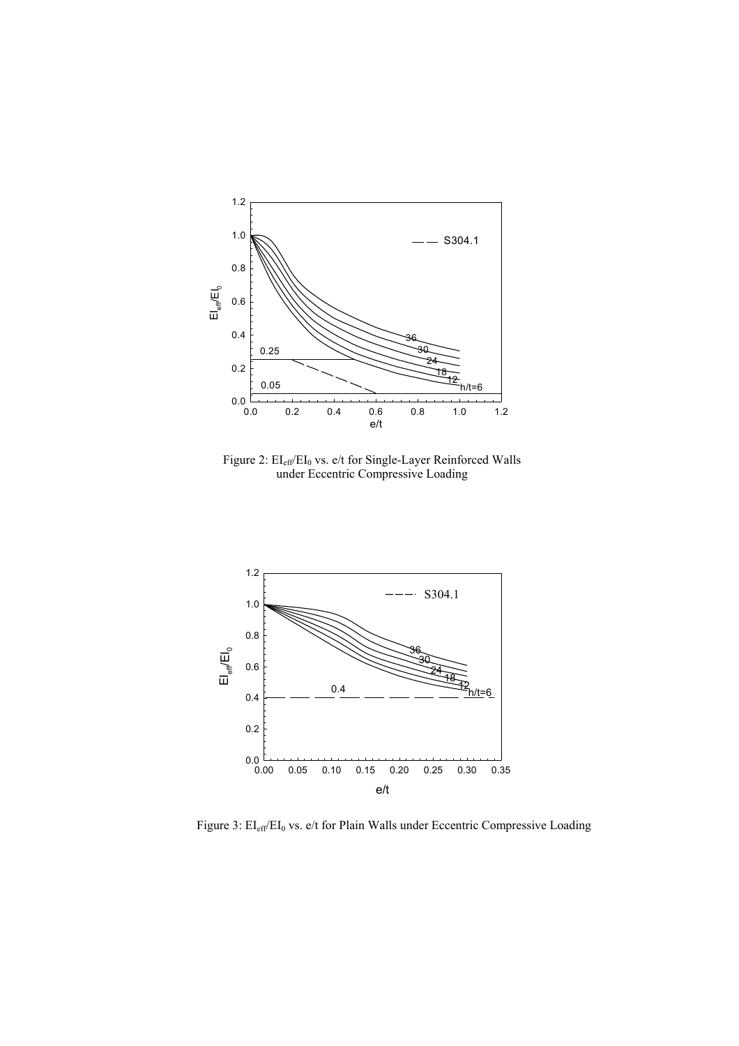

Figure 2:  $\mathrm{EI}_{\mathrm{eff}}/\mathrm{EI}_0$  vs. e/t for Single-Layer Reinforced Walls under Eccentric Compressive Loading



Figure 3: EI<sub>eff</sub>/EI<sub>0</sub> vs. e/t for Plain Walls under Eccentric Compressive Loading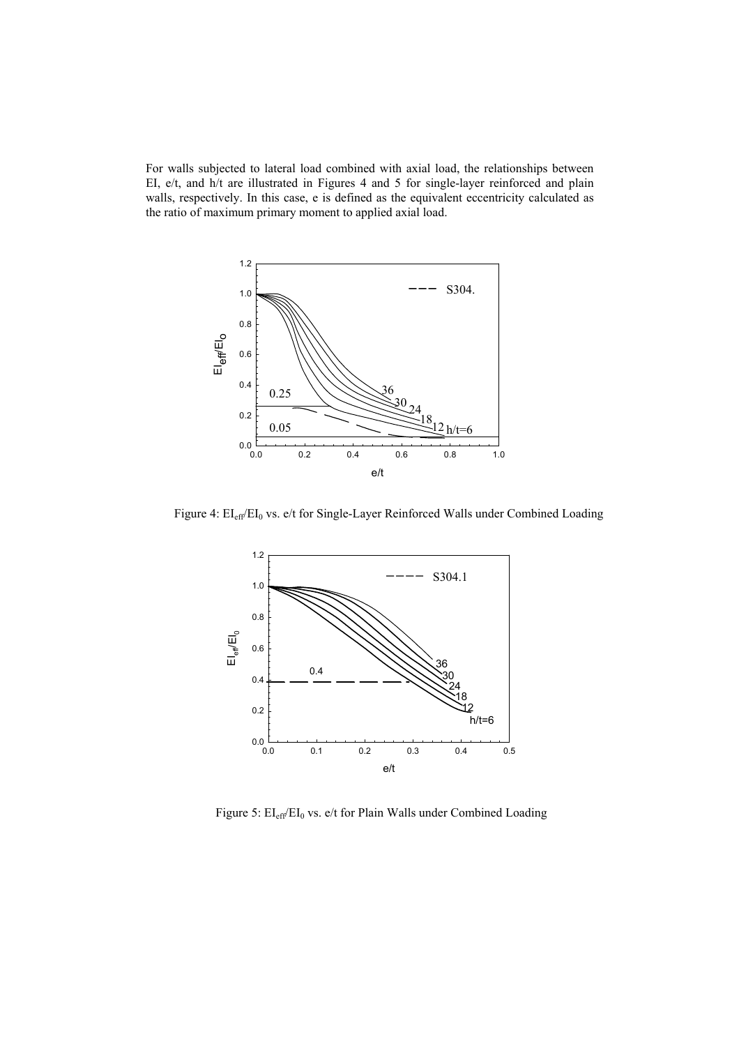For walls subjected to lateral load combined with axial load, the relationships between EI, e/t, and h/t are illustrated in Figures 4 and 5 for single-layer reinforced and plain walls, respectively. In this case, e is defined as the equivalent eccentricity calculated as the ratio of maximum primary moment to applied axial load.



Figure 4: EI<sub>eff</sub>/EI<sub>0</sub> vs. e/t for Single-Layer Reinforced Walls under Combined Loading



Figure 5: EI<sub>eff</sub>/EI<sub>0</sub> vs. e/t for Plain Walls under Combined Loading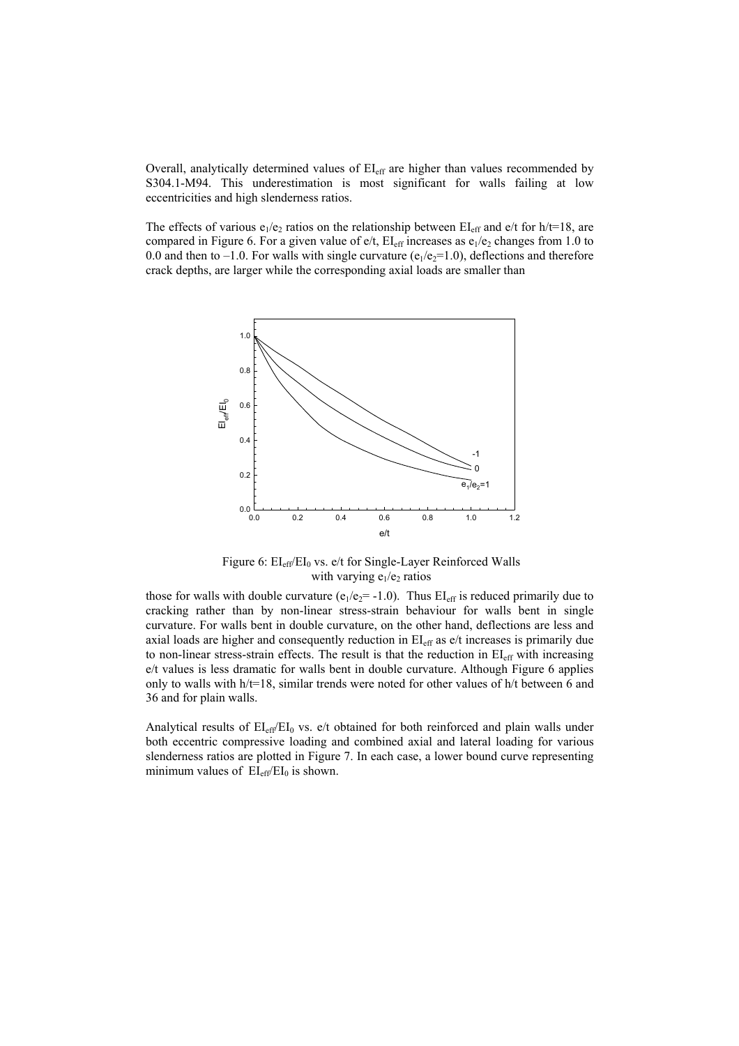Overall, analytically determined values of EI<sub>eff</sub> are higher than values recommended by S304.1-M94. This underestimation is most significant for walls failing at low eccentricities and high slenderness ratios.

The effects of various  $e_1/e_2$  ratios on the relationship between EI<sub>eff</sub> and e/t for h/t=18, are compared in Figure 6. For a given value of  $e/t$ ,  $EL_{eff}$  increases as  $e_1/e_2$  changes from 1.0 to 0.0 and then to –1.0. For walls with single curvature ( $e_1/e_2=1.0$ ), deflections and therefore crack depths, are larger while the corresponding axial loads are smaller than



Figure 6:  $EI_{eff}/EI_0$  vs. e/t for Single-Layer Reinforced Walls with varying  $e_1/e_2$  ratios

those for walls with double curvature ( $e_1/e_2$ = -1.0). Thus  $EI_{eff}$  is reduced primarily due to cracking rather than by non-linear stress-strain behaviour for walls bent in single curvature. For walls bent in double curvature, on the other hand, deflections are less and axial loads are higher and consequently reduction in  $EI<sub>eff</sub>$  as  $e/t$  increases is primarily due to non-linear stress-strain effects. The result is that the reduction in  $EI_{\text{eff}}$  with increasing e/t values is less dramatic for walls bent in double curvature. Although Figure 6 applies only to walls with h/t=18, similar trends were noted for other values of h/t between 6 and 36 and for plain walls.

Analytical results of  $EL_{eff}/EL_0$  vs.  $e/t$  obtained for both reinforced and plain walls under both eccentric compressive loading and combined axial and lateral loading for various slenderness ratios are plotted in Figure 7. In each case, a lower bound curve representing minimum values of  $EI_{\text{eff}}/EI_0$  is shown.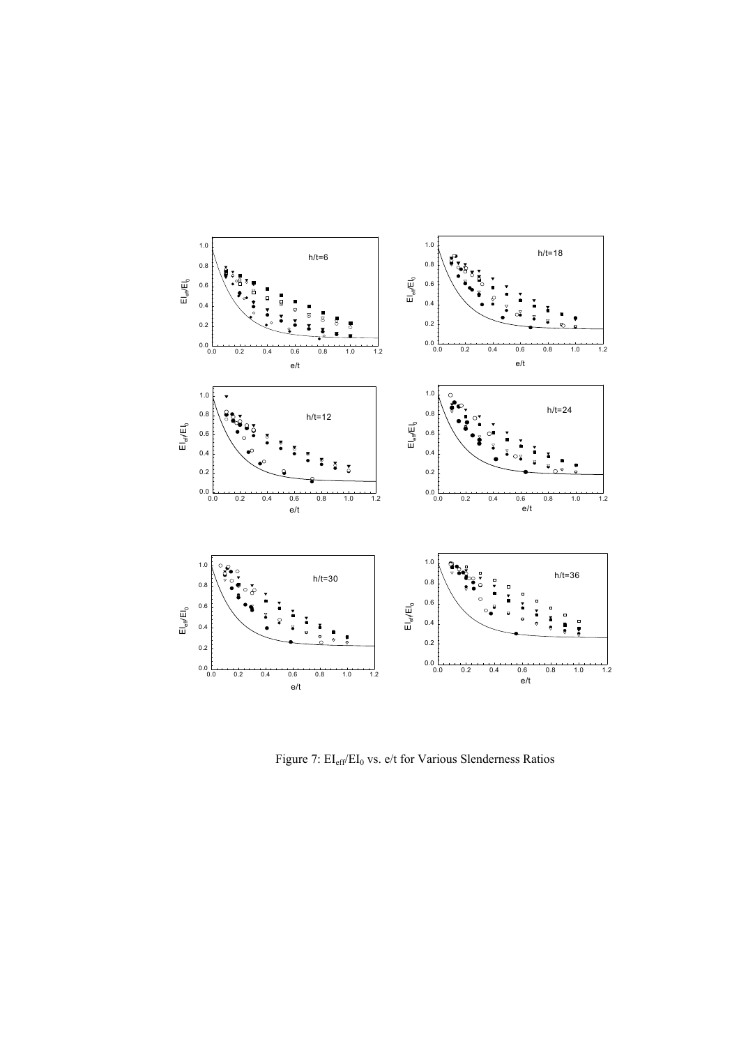

Figure 7:  $EI_{eff}/EI_0$  vs. e/t for Various Slenderness Ratios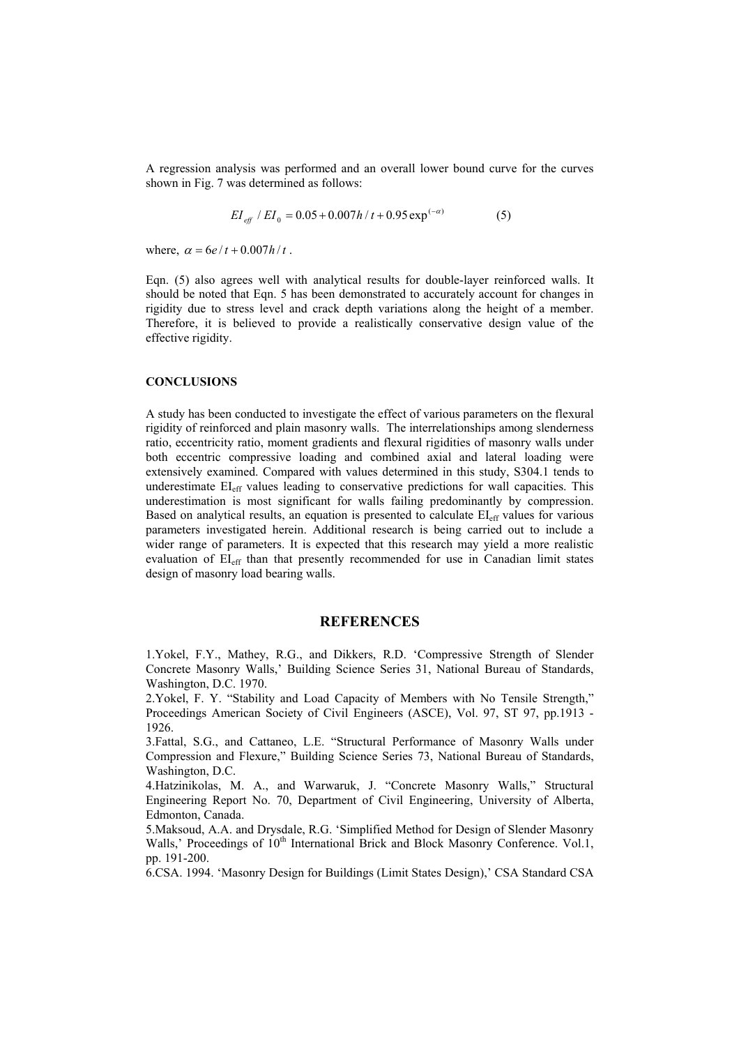A regression analysis was performed and an overall lower bound curve for the curves shown in Fig. 7 was determined as follows:

$$
EI_{\text{eff}} / EI_0 = 0.05 + 0.007 h / t + 0.95 \exp^{(-\alpha)}
$$
 (5)

where,  $\alpha = 6e/t + 0.007h/t$ .

Eqn. (5) also agrees well with analytical results for double-layer reinforced walls. It should be noted that Eqn. 5 has been demonstrated to accurately account for changes in rigidity due to stress level and crack depth variations along the height of a member. Therefore, it is believed to provide a realistically conservative design value of the effective rigidity.

### **CONCLUSIONS**

A study has been conducted to investigate the effect of various parameters on the flexural rigidity of reinforced and plain masonry walls. The interrelationships among slenderness ratio, eccentricity ratio, moment gradients and flexural rigidities of masonry walls under both eccentric compressive loading and combined axial and lateral loading were extensively examined. Compared with values determined in this study, S304.1 tends to underestimate EIeff values leading to conservative predictions for wall capacities. This underestimation is most significant for walls failing predominantly by compression. Based on analytical results, an equation is presented to calculate EIeff values for various parameters investigated herein. Additional research is being carried out to include a wider range of parameters. It is expected that this research may yield a more realistic evaluation of EI<sub>eff</sub> than that presently recommended for use in Canadian limit states design of masonry load bearing walls.

## **REFERENCES**

1.Yokel, F.Y., Mathey, R.G., and Dikkers, R.D. 'Compressive Strength of Slender Concrete Masonry Walls,' Building Science Series 31, National Bureau of Standards, Washington, D.C. 1970.

2.Yokel, F. Y. "Stability and Load Capacity of Members with No Tensile Strength," Proceedings American Society of Civil Engineers (ASCE), Vol. 97, ST 97, pp.1913 - 1926.

3.Fattal, S.G., and Cattaneo, L.E. "Structural Performance of Masonry Walls under Compression and Flexure," Building Science Series 73, National Bureau of Standards, Washington, D.C.

4.Hatzinikolas, M. A., and Warwaruk, J. "Concrete Masonry Walls," Structural Engineering Report No. 70, Department of Civil Engineering, University of Alberta, Edmonton, Canada.

5.Maksoud, A.A. and Drysdale, R.G. 'Simplified Method for Design of Slender Masonry Walls,' Proceedings of 10<sup>th</sup> International Brick and Block Masonry Conference. Vol.1, pp. 191-200.

6.CSA. 1994. 'Masonry Design for Buildings (Limit States Design),' CSA Standard CSA